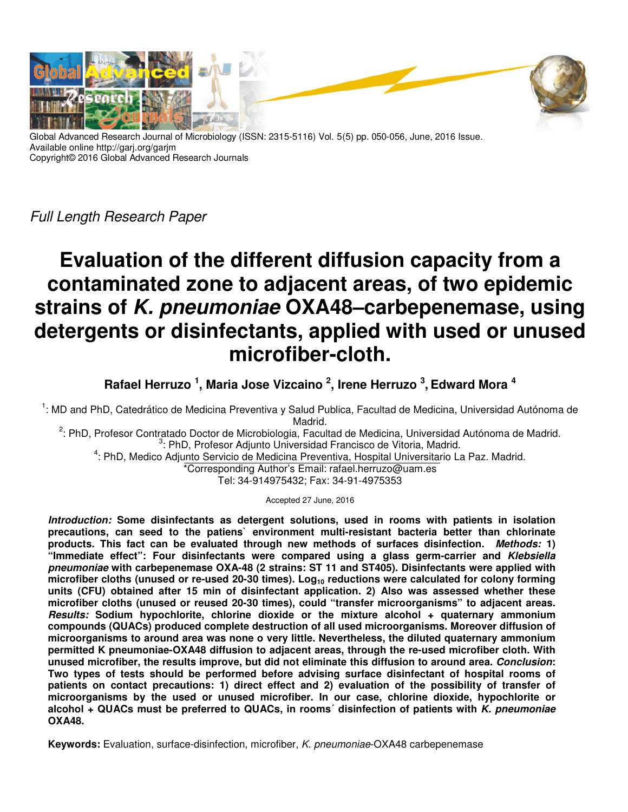

Global Advanced Research Journal of Microbiology (ISSN: 2315-5116) Vol. 5(5) pp. 050-056, June, 2016 Issue. Available online http://garj.org/garjm Copyright© 2016 Global Advanced Research Journals

Full Length Research Paper

# **Evaluation of the different diffusion capacity from a contaminated zone to adjacent areas, of two epidemic strains of** *K. pneumoniae* **OXA48–carbepenemase, using detergents or disinfectants, applied with used or unused microfiber-cloth.**

**Rafael Herruzo <sup>1</sup> , Maria Jose Vizcaino <sup>2</sup> , Irene Herruzo <sup>3</sup> , Edward Mora <sup>4</sup>**

<sup>1</sup>: MD and PhD, Catedrático de Medicina Preventiva y Salud Publica, Facultad de Medicina, Universidad Autónoma de Madrid.

<sup>2</sup>: PhD, Profesor Contratado Doctor de Microbiologia, Facultad de Medicina, Universidad Autónoma de Madrid. <sup>3</sup>: PhD, Profesor Adjunto Universidad Francisco de Vitoria, Madrid.

<sup>4</sup>: PhD, Medico Adjunto Servicio de Medicina Preventiva, Hospital Universitario La Paz. Madrid.

\*Corresponding Author's Email: rafael.herruzo@uam.es

Tel: 34-914975432; Fax: 34-91-4975353

Accepted 27 June, 2016

*Introduction:* **Some disinfectants as detergent solutions, used in rooms with patients in isolation precautions, can seed to the patiens` environment multi-resistant bacteria better than chlorinate products. This fact can be evaluated through new methods of surfaces disinfection.** *Methods:* **1) "Immediate effect": Four disinfectants were compared using a glass germ-carrier and** *Klebsiella pneumoniae* **with carbepenemase OXA-48 (2 strains: ST 11 and ST405). Disinfectants were applied with microfiber cloths (unused or re-used 20-30 times). Log10 reductions were calculated for colony forming units (CFU) obtained after 15 min of disinfectant application. 2) Also was assessed whether these microfiber cloths (unused or reused 20-30 times), could "transfer microorganisms" to adjacent areas.**  *Results:* **Sodium hypochlorite, chlorine dioxide or the mixture alcohol + quaternary ammonium compounds (QUACs) produced complete destruction of all used microorganisms. Moreover diffusion of microorganisms to around area was none o very little. Nevertheless, the diluted quaternary ammonium permitted K pneumoniae-OXA48 diffusion to adjacent areas, through the re-used microfiber cloth. With unused microfiber, the results improve, but did not eliminate this diffusion to around area.** *Conclusion***: Two types of tests should be performed before advising surface disinfectant of hospital rooms of patients on contact precautions: 1) direct effect and 2) evaluation of the possibility of transfer of microorganisms by the used or unused microfiber. In our case, chlorine dioxide, hypochlorite or alcohol + QUACs must be preferred to QUACs, in rooms´ disinfection of patients with** *K. pneumoniae* **OXA48.** 

**Keywords:** Evaluation, surface-disinfection, microfiber, K. pneumoniae-OXA48 carbepenemase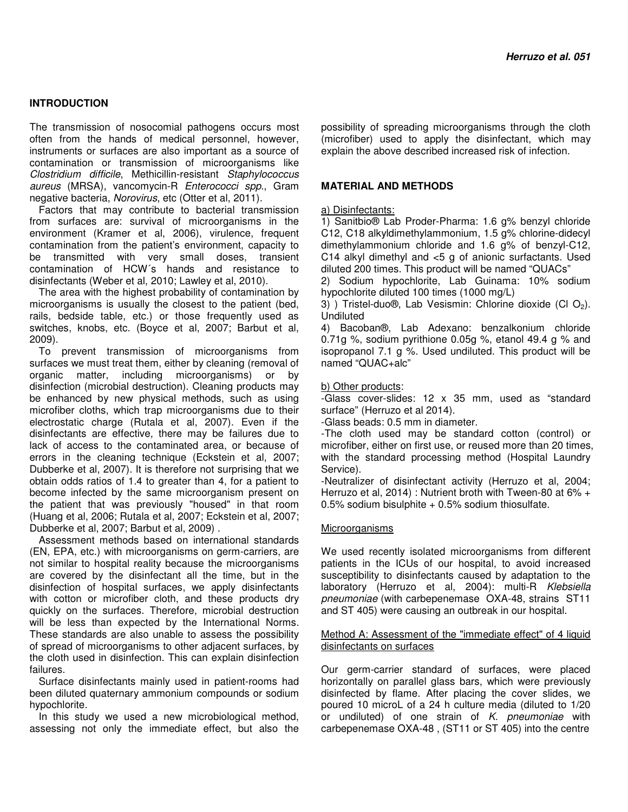## **INTRODUCTION**

The transmission of nosocomial pathogens occurs most often from the hands of medical personnel, however, instruments or surfaces are also important as a source of contamination or transmission of microorganisms like Clostridium difficile, Methicillin-resistant Staphylococcus aureus (MRSA), vancomycin-R Enterococci spp., Gram negative bacteria, Norovirus, etc (Otter et al, 2011).

Factors that may contribute to bacterial transmission from surfaces are: survival of microorganisms in the environment (Kramer et al, 2006), virulence, frequent contamination from the patient's environment, capacity to be transmitted with very small doses, transient contamination of HCW´s hands and resistance to disinfectants (Weber et al, 2010; Lawley et al, 2010).

The area with the highest probability of contamination by microorganisms is usually the closest to the patient (bed, rails, bedside table, etc.) or those frequently used as switches, knobs, etc. (Boyce et al, 2007; Barbut et al, 2009).

To prevent transmission of microorganisms from surfaces we must treat them, either by cleaning (removal of organic matter, including microorganisms) or by disinfection (microbial destruction). Cleaning products may be enhanced by new physical methods, such as using microfiber cloths, which trap microorganisms due to their electrostatic charge (Rutala et al, 2007). Even if the disinfectants are effective, there may be failures due to lack of access to the contaminated area, or because of errors in the cleaning technique (Eckstein et al, 2007; Dubberke et al, 2007). It is therefore not surprising that we obtain odds ratios of 1.4 to greater than 4, for a patient to become infected by the same microorganism present on the patient that was previously "housed" in that room (Huang et al, 2006; Rutala et al, 2007; Eckstein et al, 2007; Dubberke et al, 2007; Barbut et al, 2009) .

Assessment methods based on international standards (EN, EPA, etc.) with microorganisms on germ-carriers, are not similar to hospital reality because the microorganisms are covered by the disinfectant all the time, but in the disinfection of hospital surfaces, we apply disinfectants with cotton or microfiber cloth, and these products dry quickly on the surfaces. Therefore, microbial destruction will be less than expected by the International Norms. These standards are also unable to assess the possibility of spread of microorganisms to other adjacent surfaces, by the cloth used in disinfection. This can explain disinfection failures.

Surface disinfectants mainly used in patient-rooms had been diluted quaternary ammonium compounds or sodium hypochlorite.

In this study we used a new microbiological method, assessing not only the immediate effect, but also the

possibility of spreading microorganisms through the cloth (microfiber) used to apply the disinfectant, which may explain the above described increased risk of infection.

### **MATERIAL AND METHODS**

a) Disinfectants:

1) Sanitbio® Lab Proder-Pharma: 1.6 g% benzyl chloride C12, C18 alkyldimethylammonium, 1.5 g% chlorine-didecyl dimethylammonium chloride and 1.6 g% of benzyl-C12, C14 alkyl dimethyl and <5 g of anionic surfactants. Used diluted 200 times. This product will be named "QUACs"

2) Sodium hypochlorite, Lab Guinama: 10% sodium hypochlorite diluted 100 times (1000 mg/L)

3) ) Tristel-duo $\Theta$ , Lab Vesismin: Chlorine dioxide (Cl O<sub>2</sub>). Undiluted

4) Bacoban®, Lab Adexano: benzalkonium chloride 0.71g %, sodium pyrithione 0.05g %, etanol 49.4 g % and isopropanol 7.1 g %. Used undiluted. This product will be named "QUAC+alc"

b) Other products:

-Glass cover-slides: 12 x 35 mm, used as "standard surface" (Herruzo et al 2014).

-Glass beads: 0.5 mm in diameter.

-The cloth used may be standard cotton (control) or microfiber, either on first use, or reused more than 20 times, with the standard processing method (Hospital Laundry Service).

-Neutralizer of disinfectant activity (Herruzo et al, 2004; Herruzo et al, 2014) : Nutrient broth with Tween-80 at 6% +  $0.5\%$  sodium bisulphite  $+0.5\%$  sodium thiosulfate.

#### Microorganisms

We used recently isolated microorganisms from different patients in the ICUs of our hospital, to avoid increased susceptibility to disinfectants caused by adaptation to the laboratory (Herruzo et al, 2004): multi-R Klebsiella pneumoniae (with carbepenemase OXA-48, strains ST11 and ST 405) were causing an outbreak in our hospital.

### Method A: Assessment of the "immediate effect" of 4 liquid disinfectants on surfaces

Our germ-carrier standard of surfaces, were placed horizontally on parallel glass bars, which were previously disinfected by flame. After placing the cover slides, we poured 10 microL of a 24 h culture media (diluted to 1/20 or undiluted) of one strain of K. pneumoniae with carbepenemase OXA-48 , (ST11 or ST 405) into the centre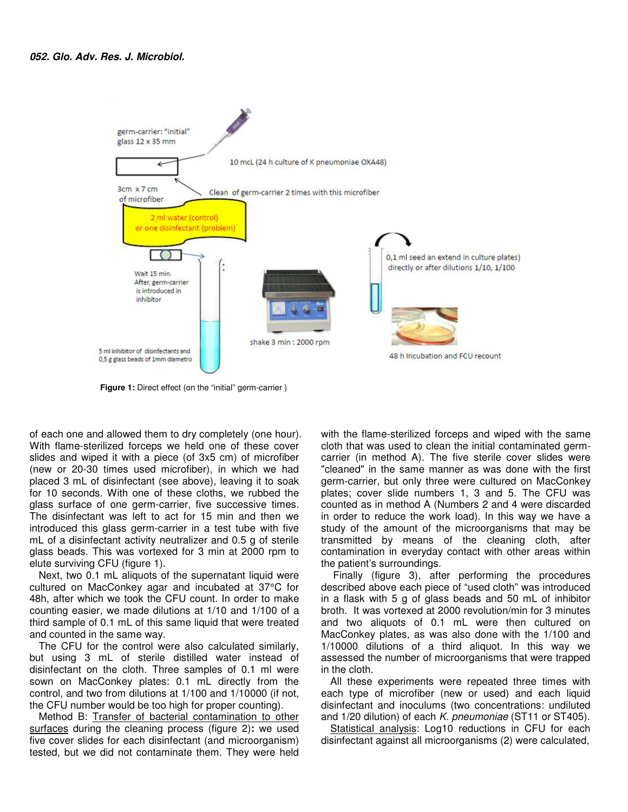

**Figure 1:** Direct effect (on the "initial" germ-carrier )

of each one and allowed them to dry completely (one hour). With flame-sterilized forceps we held one of these cover slides and wiped it with a piece (of 3x5 cm) of microfiber (new or 20-30 times used microfiber), in which we had placed 3 mL of disinfectant (see above), leaving it to soak for 10 seconds. With one of these cloths, we rubbed the glass surface of one germ-carrier, five successive times. The disinfectant was left to act for 15 min and then we introduced this glass germ-carrier in a test tube with five mL of a disinfectant activity neutralizer and 0.5 g of sterile glass beads. This was vortexed for 3 min at 2000 rpm to elute surviving CFU (figure 1).

Next, two 0.1 mL aliquots of the supernatant liquid were cultured on MacConkey agar and incubated at 37°C for 48h, after which we took the CFU count. In order to make counting easier, we made dilutions at 1/10 and 1/100 of a third sample of 0.1 mL of this same liquid that were treated and counted in the same way.

The CFU for the control were also calculated similarly, but using 3 mL of sterile distilled water instead of disinfectant on the cloth. Three samples of 0.1 ml were sown on MacConkey plates: 0.1 mL directly from the control, and two from dilutions at 1/100 and 1/10000 (if not, the CFU number would be too high for proper counting).

Method B: Transfer of bacterial contamination to other surfaces during the cleaning process (figure 2)**:** we used five cover slides for each disinfectant (and microorganism) tested, but we did not contaminate them. They were held

with the flame-sterilized forceps and wiped with the same cloth that was used to clean the initial contaminated germcarrier (in method A). The five sterile cover slides were "cleaned" in the same manner as was done with the first germ-carrier, but only three were cultured on MacConkey plates; cover slide numbers 1, 3 and 5. The CFU was counted as in method A (Numbers 2 and 4 were discarded in order to reduce the work load). In this way we have a study of the amount of the microorganisms that may be transmitted by means of the cleaning cloth, after contamination in everyday contact with other areas within the patient's surroundings.

 Finally (figure 3), after performing the procedures described above each piece of "used cloth" was introduced in a flask with 5 g of glass beads and 50 mL of inhibitor broth. It was vortexed at 2000 revolution/min for 3 minutes and two aliquots of 0.1 mL were then cultured on MacConkey plates, as was also done with the 1/100 and 1/10000 dilutions of a third aliquot. In this way we assessed the number of microorganisms that were trapped in the cloth.

All these experiments were repeated three times with each type of microfiber (new or used) and each liquid disinfectant and inoculums (two concentrations: undiluted and 1/20 dilution) of each K. pneumoniae (ST11 or ST405).

Statistical analysis: Log10 reductions in CFU for each disinfectant against all microorganisms (2) were calculated,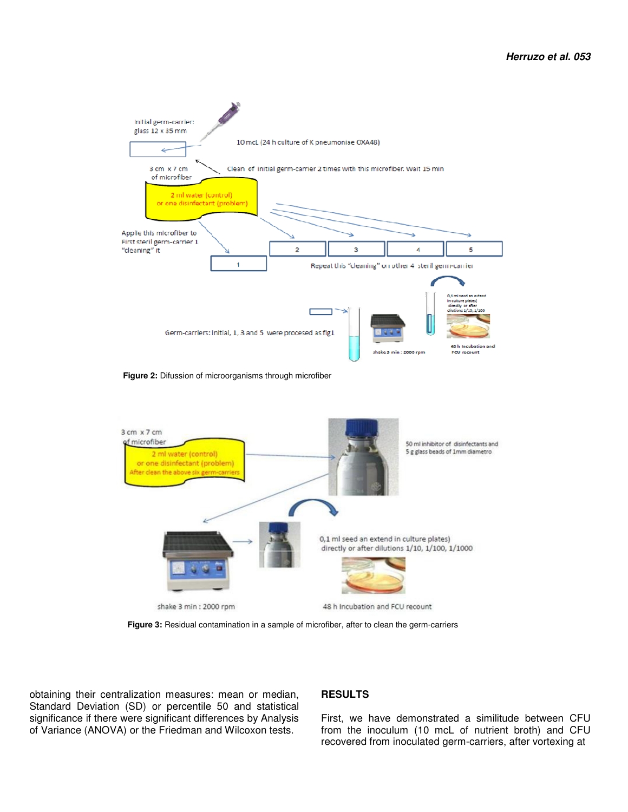

f microfiber 50 ml inhibitor of disinfectants and 5 g glass beads of 1mm diametro 2 ml water (control) or one disinfectant (problem) After clean the above six germ-carrie 0,1 ml seed an extend in culture plates) directly or after dilutions 1/10, 1/100, 1/1000 shake 3 min : 2000 rpm 48 h Incubation and FCU recount

 **Figure 3:** Residual contamination in a sample of microfiber, after to clean the germ-carriers

obtaining their centralization measures: mean or median, Standard Deviation (SD) or percentile 50 and statistical significance if there were significant differences by Analysis of Variance (ANOVA) or the Friedman and Wilcoxon tests.

#### **RESULTS**

First, we have demonstrated a similitude between CFU from the inoculum (10 mcL of nutrient broth) and CFU recovered from inoculated germ-carriers, after vortexing at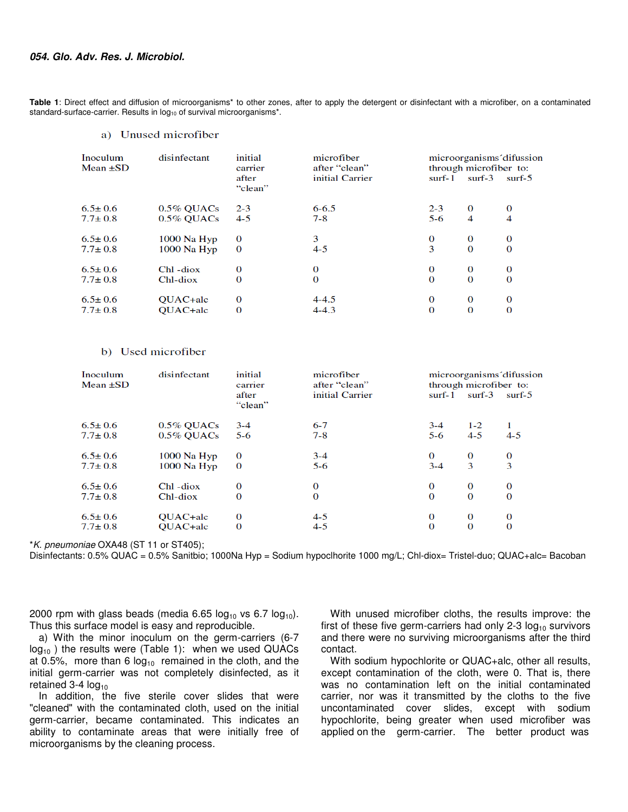**Table 1**: Direct effect and diffusion of microorganisms\* to other zones, after to apply the detergent or disinfectant with a microfiber, on a contaminated standard-surface-carrier. Results in log<sub>10</sub> of survival microorganisms\*.

#### a) Unused microfiber

| Inoculum<br>Mean $\pm SD$ | disinfectant  | initial<br>carrier<br>after<br>"clean" | microfiber<br>after "clean"<br>initial Carrier | $surf-1$ | microorganisms difussion<br>through microfiber to:<br>$surf-3$ | $surf-5$ |
|---------------------------|---------------|----------------------------------------|------------------------------------------------|----------|----------------------------------------------------------------|----------|
| $6.5 \pm 0.6$             | $0.5\%$ QUACs | $2 - 3$                                | $6 - 6.5$                                      | $2 - 3$  | $\Omega$                                                       | 0        |
| $7.7 \pm 0.8$             | $0.5\%$ OUACs | $4 - 5$                                | $7 - 8$                                        | $5-6$    | 4                                                              | 4        |
| $6.5 \pm 0.6$             | $1000$ Na Hyp | 0                                      | 3                                              | 0        | 0                                                              | 0        |
| $7.7 \pm 0.8$             | $1000$ Na Hyp | $\Omega$                               | $4 - 5$                                        | 3        | $\Omega$                                                       | $\Omega$ |
| $6.5 \pm 0.6$             | Chl-diox      | 0                                      | 0                                              | 0        | 0                                                              | 0        |
| $7.7 \pm 0.8$             | Chl-diox      | 0                                      | $\bf{0}$                                       | 0        | 0                                                              | $\bf{0}$ |
| $6.5 \pm 0.6$             | QUAC+alc      | 0                                      | $4 - 4.5$                                      | 0        | $\Omega$                                                       | 0        |
| $7.7 \pm 0.8$             | QUAC+alc      | 0                                      | $4 - 4.3$                                      | 0        | $\Omega$                                                       | 0        |

#### b) Used microfiber

| Inoculum<br>Mean $\pm SD$ | disinfectant    | initial<br>carrier | microfiber<br>after "clean" | microorganisms' difussion<br>through microfiber to: |          |          |
|---------------------------|-----------------|--------------------|-----------------------------|-----------------------------------------------------|----------|----------|
|                           |                 | after<br>"clean"   | initial Carrier             | surf-1                                              | surf-3   | $surf-5$ |
| $6.5 \pm 0.6$             | $0.5\%$ QUACs   | $3 - 4$            | $6 - 7$                     | $3 - 4$                                             | $1 - 2$  | 1        |
| $7.7 \pm 0.8$             | $0.5\%$ OUACs   | $5-6$              | $7 - 8$                     | $5-6$                                               | $4 - 5$  | $4 - 5$  |
| $6.5 \pm 0.6$             | $1000$ Na $Hyp$ | 0                  | $3 - 4$                     | 0                                                   | $\bf{0}$ | 0        |
| $7.7 \pm 0.8$             | $1000$ Na Hyp   | $\Omega$           | $5-6$                       | $3 - 4$                                             | 3        | 3        |
| $6.5 \pm 0.6$             | Chl-diox        | 0                  | 0                           | 0                                                   | $\bf{0}$ | $\bf{0}$ |
| $7.7 \pm 0.8$             | Chl-diox        | 0                  | 0                           | 0                                                   | $\Omega$ | $\Omega$ |
| $6.5 \pm 0.6$             | QUAC+alc        | 0                  | $4 - 5$                     | 0                                                   | $\Omega$ | 0        |
| $7.7 \pm 0.8$             | OUAC+alc        | 0                  | $4 - 5$                     | $\Omega$                                            | $\Omega$ | 0        |

\*K. pneumoniae OXA48 (ST 11 or ST405);

Disinfectants: 0.5% QUAC = 0.5% Sanitbio; 1000Na Hyp = Sodium hypoclhorite 1000 mg/L; Chl-diox= Tristel-duo; QUAC+alc= Bacoban

2000 rpm with glass beads (media 6.65  $log_{10}$  vs 6.7  $log_{10}$ ). Thus this surface model is easy and reproducible.

a) With the minor inoculum on the germ-carriers (6-7  $log_{10}$ ) the results were (Table 1): when we used QUACs at 0.5%, more than 6  $log_{10}$  remained in the cloth, and the initial germ-carrier was not completely disinfected, as it retained  $3-4$  log<sub>10</sub>

In addition, the five sterile cover slides that were "cleaned" with the contaminated cloth, used on the initial germ-carrier, became contaminated. This indicates an ability to contaminate areas that were initially free of microorganisms by the cleaning process.

With unused microfiber cloths, the results improve: the first of these five germ-carriers had only 2-3  $log_{10}$  survivors and there were no surviving microorganisms after the third contact.

With sodium hypochlorite or QUAC+alc, other all results, except contamination of the cloth, were 0. That is, there was no contamination left on the initial contaminated carrier, nor was it transmitted by the cloths to the five uncontaminated cover slides, except with sodium hypochlorite, being greater when used microfiber was applied on the germ-carrier. The better product was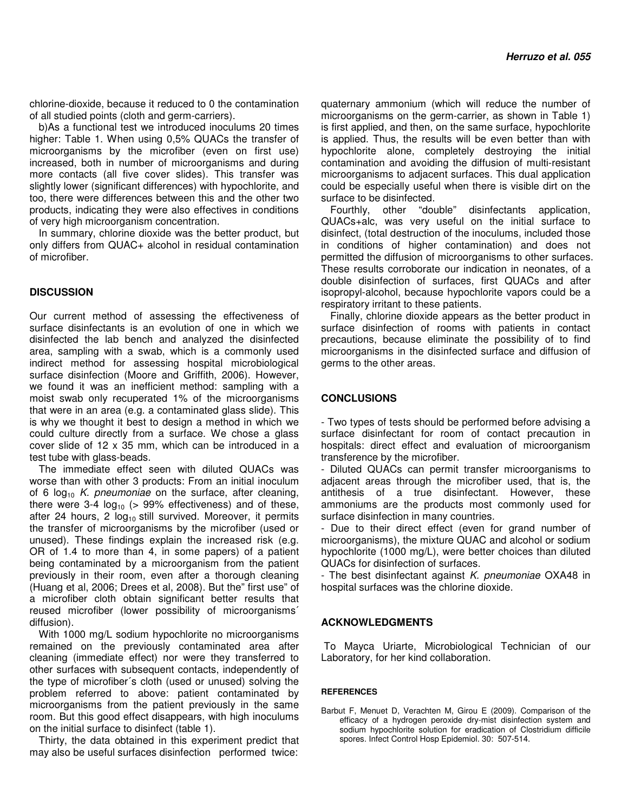chlorine-dioxide, because it reduced to 0 the contamination of all studied points (cloth and germ-carriers).

b)As a functional test we introduced inoculums 20 times higher: Table 1. When using 0,5% QUACs the transfer of microorganisms by the microfiber (even on first use) increased, both in number of microorganisms and during more contacts (all five cover slides). This transfer was slightly lower (significant differences) with hypochlorite, and too, there were differences between this and the other two products, indicating they were also effectives in conditions of very high microorganism concentration.

In summary, chlorine dioxide was the better product, but only differs from QUAC+ alcohol in residual contamination of microfiber.

## **DISCUSSION**

Our current method of assessing the effectiveness of surface disinfectants is an evolution of one in which we disinfected the lab bench and analyzed the disinfected area, sampling with a swab, which is a commonly used indirect method for assessing hospital microbiological surface disinfection (Moore and Griffith, 2006). However, we found it was an inefficient method: sampling with a moist swab only recuperated 1% of the microorganisms that were in an area (e.g. a contaminated glass slide). This is why we thought it best to design a method in which we could culture directly from a surface. We chose a glass cover slide of 12 x 35 mm, which can be introduced in a test tube with glass-beads.

The immediate effect seen with diluted QUACs was worse than with other 3 products: From an initial inoculum of 6  $log_{10}$  K. pneumoniae on the surface, after cleaning, there were 3-4  $log_{10}$  (> 99% effectiveness) and of these, after 24 hours, 2  $log_{10}$  still survived. Moreover, it permits the transfer of microorganisms by the microfiber (used or unused). These findings explain the increased risk (e.g. OR of 1.4 to more than 4, in some papers) of a patient being contaminated by a microorganism from the patient previously in their room, even after a thorough cleaning (Huang et al, 2006; Drees et al, 2008). But the" first use" of a microfiber cloth obtain significant better results that reused microfiber (lower possibility of microorganisms´ diffusion).

With 1000 mg/L sodium hypochlorite no microorganisms remained on the previously contaminated area after cleaning (immediate effect) nor were they transferred to other surfaces with subsequent contacts, independently of the type of microfiber´s cloth (used or unused) solving the problem referred to above: patient contaminated by microorganisms from the patient previously in the same room. But this good effect disappears, with high inoculums on the initial surface to disinfect (table 1).

Thirty, the data obtained in this experiment predict that may also be useful surfaces disinfection performed twice:

quaternary ammonium (which will reduce the number of microorganisms on the germ-carrier, as shown in Table 1) is first applied, and then, on the same surface, hypochlorite is applied. Thus, the results will be even better than with hypochlorite alone, completely destroying the initial contamination and avoiding the diffusion of multi-resistant microorganisms to adjacent surfaces. This dual application could be especially useful when there is visible dirt on the surface to be disinfected.

Fourthly, other "double" disinfectants application, QUACs+alc, was very useful on the initial surface to disinfect, (total destruction of the inoculums, included those in conditions of higher contamination) and does not permitted the diffusion of microorganisms to other surfaces. These results corroborate our indication in neonates, of a double disinfection of surfaces, first QUACs and after isopropyl-alcohol, because hypochlorite vapors could be a respiratory irritant to these patients.

Finally, chlorine dioxide appears as the better product in surface disinfection of rooms with patients in contact precautions, because eliminate the possibility of to find microorganisms in the disinfected surface and diffusion of germs to the other areas.

## **CONCLUSIONS**

- Two types of tests should be performed before advising a surface disinfectant for room of contact precaution in hospitals: direct effect and evaluation of microorganism transference by the microfiber.

- Diluted QUACs can permit transfer microorganisms to adjacent areas through the microfiber used, that is, the antithesis of a true disinfectant. However, these ammoniums are the products most commonly used for surface disinfection in many countries.

- Due to their direct effect (even for grand number of microorganisms), the mixture QUAC and alcohol or sodium hypochlorite (1000 mg/L), were better choices than diluted QUACs for disinfection of surfaces.

- The best disinfectant against K. pneumoniae OXA48 in hospital surfaces was the chlorine dioxide.

## **ACKNOWLEDGMENTS**

 To Mayca Uriarte, Microbiological Technician of our Laboratory, for her kind collaboration.

## **REFERENCES**

Barbut F, Menuet D, Verachten M, Girou E (2009). Comparison of the efficacy of a hydrogen peroxide dry-mist disinfection system and sodium hypochlorite solution for eradication of Clostridium difficile spores. Infect Control Hosp Epidemiol. 30: 507-514.